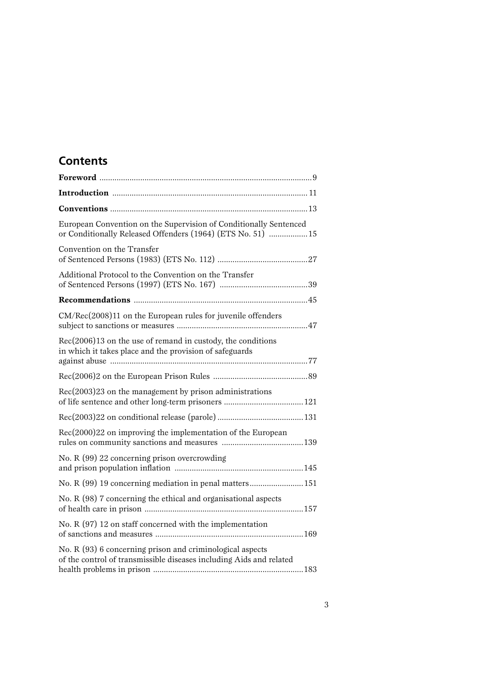# **Contents**

| European Convention on the Supervision of Conditionally Sentenced<br>or Conditionally Released Offenders (1964) (ETS No. 51)  15 |
|----------------------------------------------------------------------------------------------------------------------------------|
| Convention on the Transfer                                                                                                       |
| Additional Protocol to the Convention on the Transfer                                                                            |
|                                                                                                                                  |
| CM/Rec(2008)11 on the European rules for juvenile offenders                                                                      |
| $Rec(2006)13$ on the use of remand in custody, the conditions<br>in which it takes place and the provision of safeguards         |
|                                                                                                                                  |
| Rec(2003)23 on the management by prison administrations                                                                          |
|                                                                                                                                  |
| Rec(2000)22 on improving the implementation of the European                                                                      |
| No. R (99) 22 concerning prison overcrowding                                                                                     |
| No. R (99) 19 concerning mediation in penal matters 151                                                                          |
| No. R (98) 7 concerning the ethical and organisational aspects                                                                   |
| No. R $(97)$ 12 on staff concerned with the implementation                                                                       |
| No. R (93) 6 concerning prison and criminological aspects<br>of the control of transmissible diseases including Aids and related |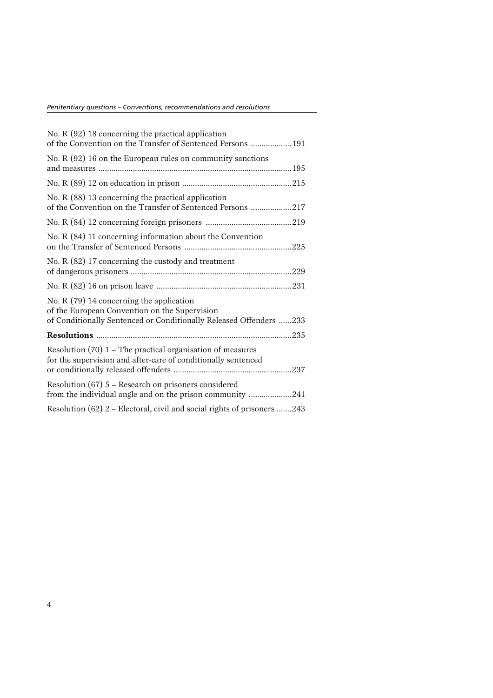| No. $R(92)$ 18 concerning the practical application<br>of the Convention on the Transfer of Sentenced Persons  191                                              |
|-----------------------------------------------------------------------------------------------------------------------------------------------------------------|
| No. R $(92)$ 16 on the European rules on community sanctions                                                                                                    |
|                                                                                                                                                                 |
| No. R $(88)$ 13 concerning the practical application<br>of the Convention on the Transfer of Sentenced Persons 217                                              |
|                                                                                                                                                                 |
| No. R (84) 11 concerning information about the Convention                                                                                                       |
| No. R $(82)$ 17 concerning the custody and treatment                                                                                                            |
|                                                                                                                                                                 |
| No. R (79) 14 concerning the application<br>of the European Convention on the Supervision<br>of Conditionally Sentenced or Conditionally Released Offenders 233 |
|                                                                                                                                                                 |
| Resolution $(70)$ 1 – The practical organisation of measures<br>for the supervision and after-care of conditionally sentenced                                   |
| Resolution $(67)$ 5 – Research on prisoners considered<br>from the individual angle and on the prison community 241                                             |
| Resolution (62) 2 – Electoral, civil and social rights of prisoners 243                                                                                         |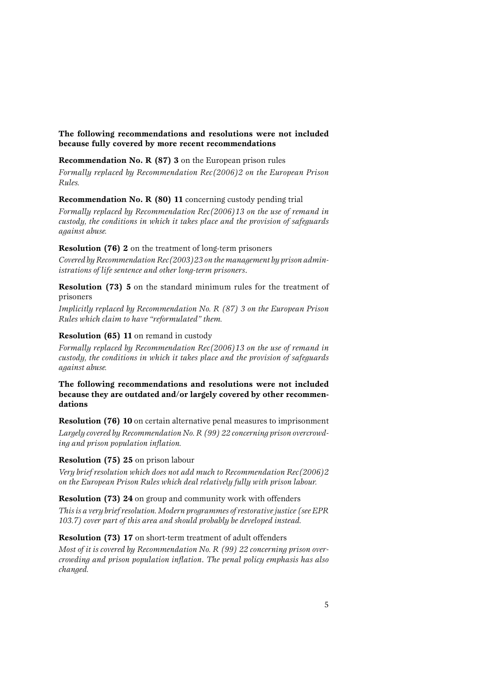#### **The following recommendations and resolutions were not included because fully covered by more recent recommendations**

#### **Recommendation No. R (87) 3** on the European prison rules

*Formally replaced by Recommendation Rec(2006)2 on the European Prison Rules.*

#### **Recommendation No. R (80) 11** concerning custody pending trial

*Formally replaced by Recommendation Rec(2006)13 on the use of remand in custody, the conditions in which it takes place and the provision of safeguards against abuse.*

#### **Resolution (76) 2** on the treatment of long-term prisoners

*Covered by Recommendation Rec(2003)23 onthe management by prisonadministrations of life sentence and other long-term prisoners*.

**Resolution (73) 5** on the standard minimum rules for the treatment of prisoners

*Implicitly replaced by Recommendation No. R (87) 3 on the European Prison Rules which claim to have "reformulated" them.*

#### **Resolution (65) 11** on remand in custody

*Formally replaced by Recommendation Rec(2006)13 on the use of remand in custody, the conditions in which it takes place and the provision of safeguards against abuse.*

#### **The following recommendations and resolutions were not included because they are outdated and/or largely covered by other recommendations**

**Resolution (76) 10** on certain alternative penal measures to imprisonment

*Largely covered by Recommendation No. R (99) 22 concerning prisonovercrowding and prison population inflation.*

#### **Resolution (75) 25** on prison labour

*Very brief resolution which does not add much to Recommendation Rec(2006)2 on the European Prison Rules which deal relatively fully with prison labour.*

#### **Resolution (73) 24** on group and community work with offenders

*Thisis a very brief resolution. Modernprogrammes of restorativejustice (see EPR 103.7) cover part of this area and should probably be developed instead.*

#### **Resolution (73) 17** on short-term treatment of adult offenders

*Most of it is covered by Recommendation No. R (99) 22 <i>concerning prison overcrowding and prison population inflation*. *The penal policy emphasis has also changed.*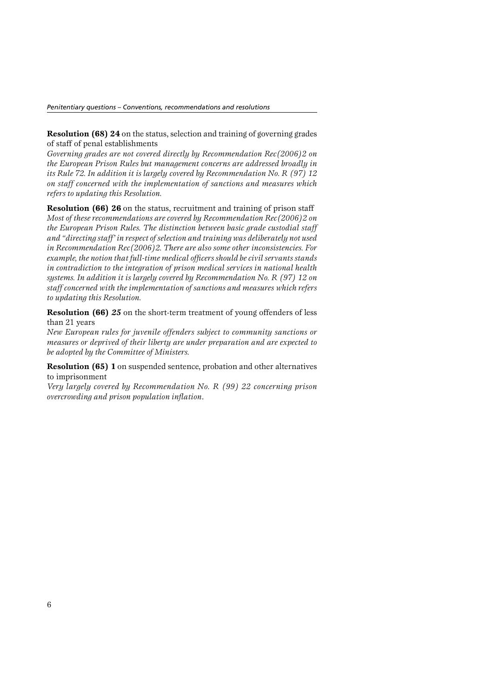**Resolution (68) 24** on the status, selection and training of governing grades of staff of penal establishments

*Governing grades are not covered directly by Recommendation Rec(2006)2 on the European Prison Rules but management concerns are addressed broadly in its Rule 72. In addition it is largely covered by Recommendation No. R (97) 12 on staff concerned with the implementation of sanctions and measures which refers to updating this Resolution.*

**Resolution (66) 26** on the status, recruitment and training of prison staff *Most of these recommendations are covered by Recommendation Rec(2006)2 on the European Prison Rules. The distinction between basic grade custodial staff and "directing staff' inrespect ofselectionand training was deliberatelynot used in Recommendation Rec(2006)2. There are also some other inconsistencies. For example, thenotionthat full-time medical officers should becivil servants stands in contradiction to the integration of prison medical services in national health systems. In addition it is largely covered by Recommendation No. R (97) 12 on staff concerned with the implementationof sanctions and measures which refers to updating this Resolution.*

**Resolution (66)** *25* on the short-term treatment of young offenders of less than 21 years

*New European rules for juvenile offenders subject to community sanctions or measures or deprived of their liberty are under preparation and are expected to be adopted by the Committee of Ministers.*

**Resolution (65) 1** on suspended sentence, probation and other alternatives to imprisonment

*Very largely covered by Recommendation No. R (99) 22 concerning prison overcrowding and prison population inflation*.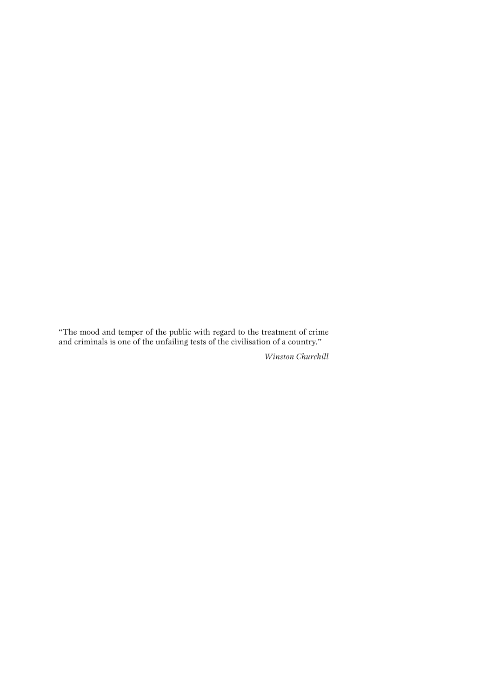"The mood and temper of the public with regard to the treatment of crime and criminals is one of the unfailing tests of the civilisation of a country."

*Winston Churchill*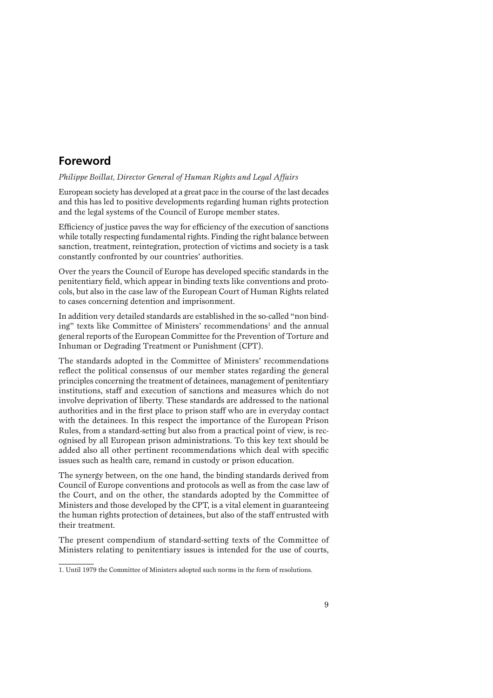## **Foreword**

#### *Philippe Boillat, Director General of Human Rights and Legal Affairs*

European society has developed at a great pace in the course of the last decades and this has led to positive developments regarding human rights protection and the legal systems of the Council of Europe member states.

Efficiency of justice paves the way for efficiency of the execution of sanctions while totally respecting fundamental rights. Finding the right balance between sanction, treatment, reintegration, protection of victims and society is a task constantly confronted by our countries' authorities.

Over the years the Council of Europe has developed specific standards in the penitentiary field, which appear in binding texts like conventions and protocols, but also in the case law of the European Court of Human Rights related to cases concerning detention and imprisonment.

In addition very detailed standards are established in the so-called "non binding" texts like Committee of Ministers' recommendations<sup>1</sup> and the annual general reports of the European Committee for the Prevention of Torture and Inhuman or Degrading Treatment or Punishment (CPT).

The standards adopted in the Committee of Ministers' recommendations reflect the political consensus of our member states regarding the general principles concerning the treatment of detainees, management of penitentiary institutions, staff and execution of sanctions and measures which do not involve deprivation of liberty. These standards are addressed to the national authorities and in the first place to prison staff who are in everyday contact with the detainees. In this respect the importance of the European Prison Rules, from a standard-setting but also from a practical point of view, is recognised by all European prison administrations. To this key text should be added also all other pertinent recommendations which deal with specific issues such as health care, remand in custody or prison education.

The synergy between, on the one hand, the binding standards derived from Council of Europe conventions and protocols as well as from the case law of the Court, and on the other, the standards adopted by the Committee of Ministers and those developed by the CPT, is a vital element in guaranteeing the human rights protection of detainees, but also of the staff entrusted with their treatment.

The present compendium of standard-setting texts of the Committee of Ministers relating to penitentiary issues is intended for the use of courts,

<sup>1.</sup> Until 1979 the Committee of Ministers adopted such norms in the form of resolutions.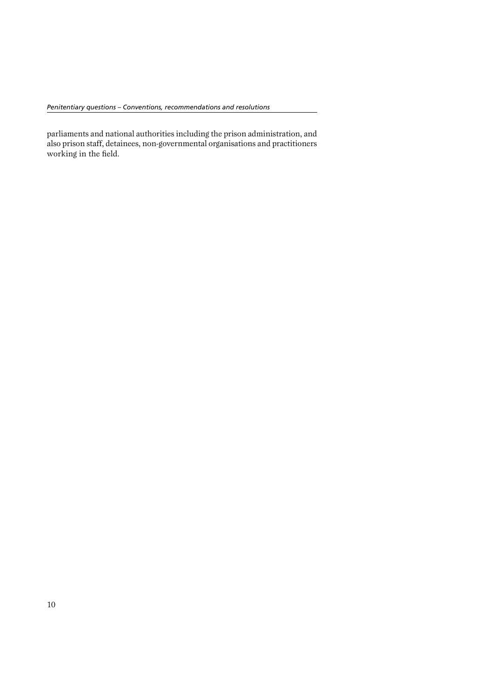parliaments and national authorities including the prison administration, and also prison staff, detainees, non-governmental organisations and practitioners working in the field.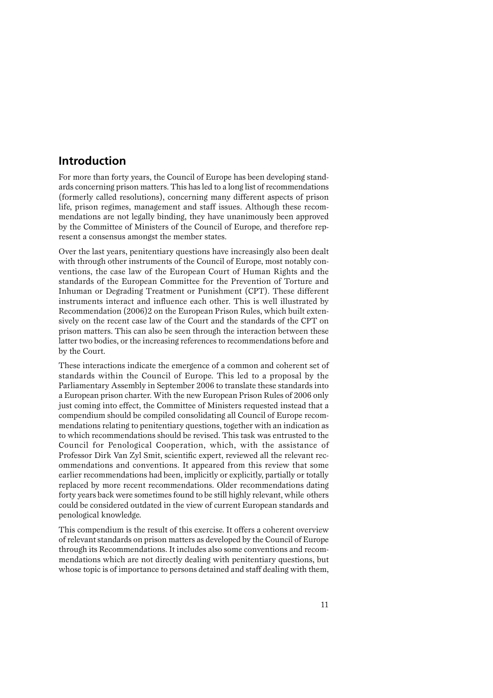### **Introduction**

For more than forty years, the Council of Europe has been developing standards concerning prison matters. This has led to a long list of recommendations (formerly called resolutions), concerning many different aspects of prison life, prison regimes, management and staff issues. Although these recommendations are not legally binding, they have unanimously been approved by the Committee of Ministers of the Council of Europe, and therefore represent a consensus amongst the member states.

Over the last years, penitentiary questions have increasingly also been dealt with through other instruments of the Council of Europe, most notably conventions, the case law of the European Court of Human Rights and the standards of the European Committee for the Prevention of Torture and Inhuman or Degrading Treatment or Punishment (CPT). These different instruments interact and influence each other. This is well illustrated by Recommendation (2006)2 on the European Prison Rules, which built extensively on the recent case law of the Court and the standards of the CPT on prison matters. This can also be seen through the interaction between these latter two bodies, or the increasing references to recommendations before and by the Court.

These interactions indicate the emergence of a common and coherent set of standards within the Council of Europe. This led to a proposal by the Parliamentary Assembly in September 2006 to translate these standards into a European prison charter. With the new European Prison Rules of 2006 only just coming into effect, the Committee of Ministers requested instead that a compendium should be compiled consolidating all Council of Europe recommendations relating to penitentiary questions, together with an indication as to which recommendations should be revised. This task was entrusted to the Council for Penological Cooperation, which, with the assistance of Professor Dirk Van Zyl Smit, scientific expert, reviewed all the relevant recommendations and conventions. It appeared from this review that some earlier recommendations had been, implicitly or explicitly, partially or totally replaced by more recent recommendations. Older recommendations dating forty years back were sometimes found to be still highly relevant, while others could be considered outdated in the view of current European standards and penological knowledge.

This compendium is the result of this exercise. It offers a coherent overview of relevant standards on prison matters as developed by the Council of Europe through its Recommendations. It includes also some conventions and recommendations which are not directly dealing with penitentiary questions, but whose topic is of importance to persons detained and staff dealing with them,